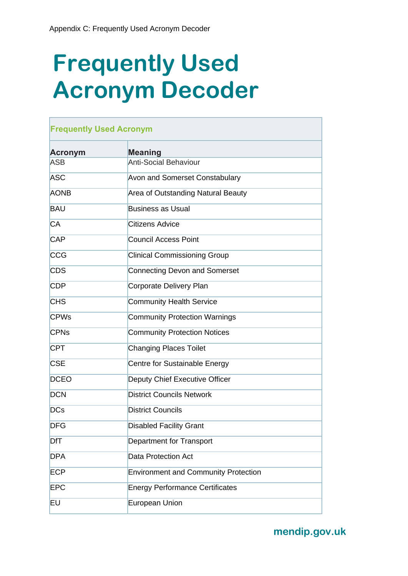## **Frequently Used Acronym Decoder**

| <b>Acronym</b>         | <b>Meaning</b>                              |  |
|------------------------|---------------------------------------------|--|
| <b>ASB</b>             | <b>Anti-Social Behaviour</b>                |  |
| <b>ASC</b>             | <b>Avon and Somerset Constabulary</b>       |  |
| <b>AONB</b>            | Area of Outstanding Natural Beauty          |  |
| <b>BAU</b>             | <b>Business as Usual</b>                    |  |
| <b>CA</b>              | <b>Citizens Advice</b>                      |  |
| <b>CAP</b>             | <b>Council Access Point</b>                 |  |
| <b>CCG</b>             | <b>Clinical Commissioning Group</b>         |  |
| <b>CDS</b>             | <b>Connecting Devon and Somerset</b>        |  |
| <b>CDP</b>             | Corporate Delivery Plan                     |  |
| <b>CHS</b>             | <b>Community Health Service</b>             |  |
| <b>CPWs</b>            | <b>Community Protection Warnings</b>        |  |
| <b>CPN<sub>s</sub></b> | <b>Community Protection Notices</b>         |  |
| <b>CPT</b>             | <b>Changing Places Toilet</b>               |  |
| <b>CSE</b>             | Centre for Sustainable Energy               |  |
| <b>DCEO</b>            | Deputy Chief Executive Officer              |  |
| <b>DCN</b>             | <b>District Councils Network</b>            |  |
| <b>DCs</b>             | <b>District Councils</b>                    |  |
| <b>DFG</b>             | <b>Disabled Facility Grant</b>              |  |
| DfT                    | Department for Transport                    |  |
| <b>DPA</b>             | <b>Data Protection Act</b>                  |  |
| <b>ECP</b>             | <b>Environment and Community Protection</b> |  |
| <b>EPC</b>             | <b>Energy Performance Certificates</b>      |  |
| EU                     | <b>European Union</b>                       |  |
|                        |                                             |  |

**mendip.gov.uk**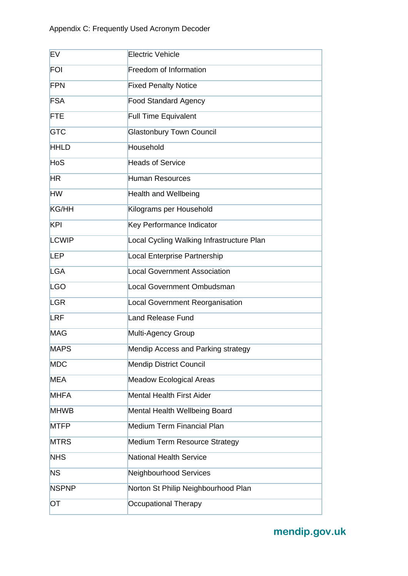| <b>EV</b>    | <b>Electric Vehicle</b>                   |
|--------------|-------------------------------------------|
| <b>FOI</b>   | Freedom of Information                    |
| <b>FPN</b>   | <b>Fixed Penalty Notice</b>               |
| <b>FSA</b>   | <b>Food Standard Agency</b>               |
| <b>FTE</b>   | <b>Full Time Equivalent</b>               |
| <b>GTC</b>   | <b>Glastonbury Town Council</b>           |
| <b>HHLD</b>  | Household                                 |
| <b>HoS</b>   | <b>Heads of Service</b>                   |
| HR           | <b>Human Resources</b>                    |
| <b>HW</b>    | <b>Health and Wellbeing</b>               |
| <b>KG/HH</b> | Kilograms per Household                   |
| <b>KPI</b>   | Key Performance Indicator                 |
| <b>LCWIP</b> | Local Cycling Walking Infrastructure Plan |
| <b>LEP</b>   | Local Enterprise Partnership              |
| <b>LGA</b>   | <b>Local Government Association</b>       |
| <b>LGO</b>   | Local Government Ombudsman                |
| <b>LGR</b>   | Local Government Reorganisation           |
| <b>LRF</b>   | <b>Land Release Fund</b>                  |
| <b>MAG</b>   | Multi-Agency Group                        |
| <b>MAPS</b>  | Mendip Access and Parking strategy        |
| <b>MDC</b>   | <b>Mendip District Council</b>            |
| <b>MEA</b>   | <b>Meadow Ecological Areas</b>            |
| <b>MHFA</b>  | <b>Mental Health First Aider</b>          |
| <b>MHWB</b>  | Mental Health Wellbeing Board             |
| <b>MTFP</b>  | <b>Medium Term Financial Plan</b>         |
| <b>MTRS</b>  | Medium Term Resource Strategy             |
| <b>NHS</b>   | <b>National Health Service</b>            |
| <b>NS</b>    | Neighbourhood Services                    |
| <b>NSPNP</b> | Norton St Philip Neighbourhood Plan       |
| OT           | Occupational Therapy                      |

**mendip.gov.uk**